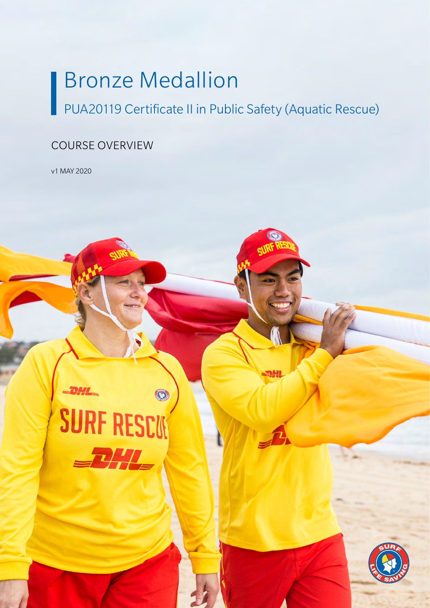# Bronze Medallion

O

PUA20119 Certificate II in Public Safety (Aquatic Rescue)

## COURSE OVERVIEW

v1 MAY 2020

**PHI** 

**SURF RESCON** 

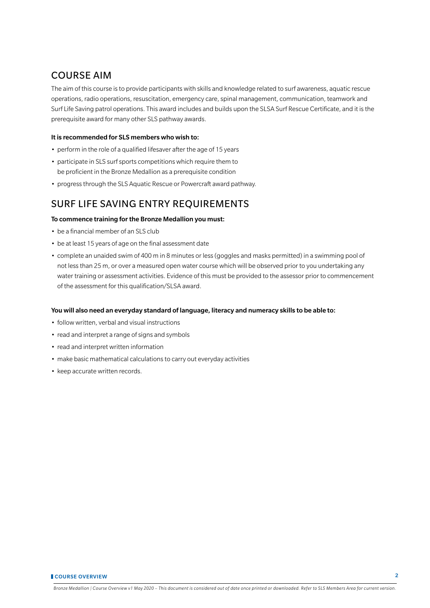## COURSE AIM

The aim of this course is to provide participants with skills and knowledge related to surf awareness, aquatic rescue operations, radio operations, resuscitation, emergency care, spinal management, communication, teamwork and Surf Life Saving patrol operations. This award includes and builds upon the SLSA Surf Rescue Certificate, and it is the prerequisite award for many other SLS pathway awards.

#### It is recommended for SLS members who wish to:

- perform in the role of a qualified lifesaver after the age of 15 years
- participate in SLS surf sports competitions which require them to be proficient in the Bronze Medallion as a prerequisite condition
- progress through the SLS Aquatic Rescue or Powercraft award pathway.

## SURF LIFE SAVING ENTRY REQUIREMENTS

### To commence training for the Bronze Medallion you must:

- be a financial member of an SLS club
- be at least 15 years of age on the final assessment date
- complete an unaided swim of 400 m in 8 minutes or less (goggles and masks permitted) in a swimming pool of not less than 25 m, or over a measured open water course which will be observed prior to you undertaking any water training or assessment activities. Evidence of this must be provided to the assessor prior to commencement of the assessment for this qualification/SLSA award.

#### You will also need an everyday standard of language, literacy and numeracy skills to be able to:

- follow written, verbal and visual instructions
- read and interpret a range of signs and symbols
- read and interpret written information
- make basic mathematical calculations to carry out everyday activities
- keep accurate written records.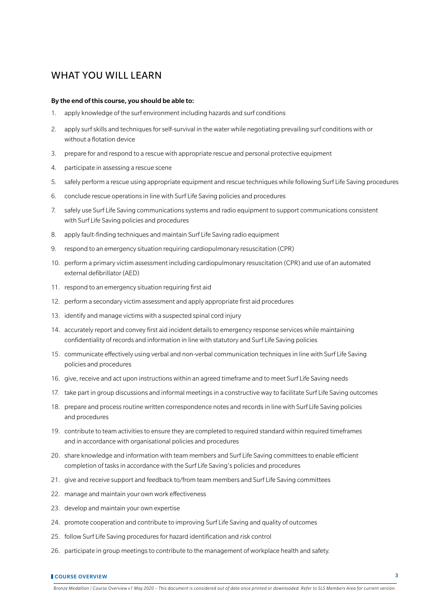## WHAT YOU WILL LEARN

#### By the end of this course, you should be able to:

- 1. apply knowledge of the surf environment including hazards and surf conditions
- 2. apply surf skills and techniques for self-survival in the water while negotiating prevailing surf conditions with or without a flotation device
- 3. prepare for and respond to a rescue with appropriate rescue and personal protective equipment
- 4. participate in assessing a rescue scene
- 5. safely perform a rescue using appropriate equipment and rescue techniques while following Surf Life Saving procedures
- 6. conclude rescue operations in line with Surf Life Saving policies and procedures
- 7. safely use Surf Life Saving communications systems and radio equipment to support communications consistent with Surf Life Saving policies and procedures
- 8. apply fault-finding techniques and maintain Surf Life Saving radio equipment
- 9. respond to an emergency situation requiring cardiopulmonary resuscitation (CPR)
- 10. perform a primary victim assessment including cardiopulmonary resuscitation (CPR) and use of an automated external defibrillator (AED)
- 11. respond to an emergency situation requiring first aid
- 12. perform a secondary victim assessment and apply appropriate first aid procedures
- 13. identify and manage victims with a suspected spinal cord injury
- 14. accurately report and convey first aid incident details to emergency response services while maintaining confidentiality of records and information in line with statutory and Surf Life Saving policies
- 15. communicate effectively using verbal and non-verbal communication techniques in line with Surf Life Saving policies and procedures
- 16. give, receive and act upon instructions within an agreed timeframe and to meet Surf Life Saving needs
- 17. take part in group discussions and informal meetings in a constructive way to facilitate Surf Life Saving outcomes
- 18. prepare and process routine written correspondence notes and records in line with Surf Life Saving policies and procedures
- 19. contribute to team activities to ensure they are completed to required standard within required timeframes and in accordance with organisational policies and procedures
- 20. share knowledge and information with team members and Surf Life Saving committees to enable efficient completion of tasks in accordance with the Surf Life Saving's policies and procedures
- 21. give and receive support and feedback to/from team members and Surf Life Saving committees
- 22. manage and maintain your own work effectiveness
- 23. develop and maintain your own expertise
- 24. promote cooperation and contribute to improving Surf Life Saving and quality of outcomes
- 25. follow Surf Life Saving procedures for hazard identification and risk control
- 26. participate in group meetings to contribute to the management of workplace health and safety.

#### **COURSE OVERVIEW 3**